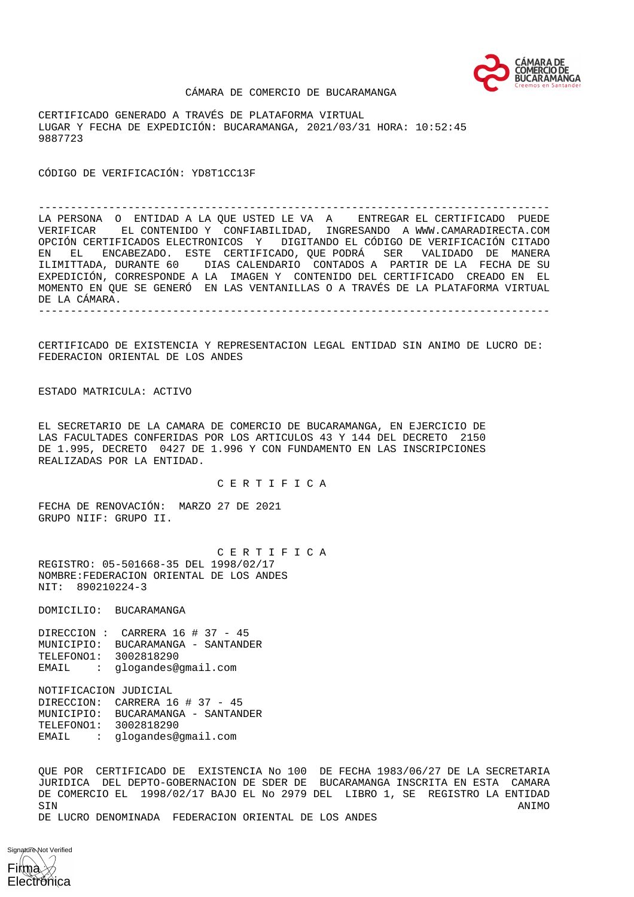

#### CÁMARA DE COMERCIO DE BUCARAMANGA

CERTIFICADO GENERADO A TRAVÉS DE PLATAFORMA VIRTUAL LUGAR Y FECHA DE EXPEDICIÓN: BUCARAMANGA, 2021/03/31 HORA: 10:52:45 9887723

CÓDIGO DE VERIFICACIÓN: YD8T1CC13F

-------------------------------------------------------------------------------- LA PERSONA O ENTIDAD A LA QUE USTED LE VA A ENTREGAR EL CERTIFICADO PUEDE VERIFICAR EL CONTENIDO Y CONFIABILIDAD, INGRESANDO A WWW.CAMARADIRECTA.COM OPCIÓN CERTIFICADOS ELECTRONICOS Y DIGITANDO EL CÓDIGO DE VERIFICACIÓN CITADO EN EL ENCABEZADO. ESTE CERTIFICADO, QUE PODRÁ SER VALIDADO DE MANERA ILIMITTADA, DURANTE 60 DIAS CALENDARIO CONTADOS A PARTIR DE LA FECHA DE SU EXPEDICIÓN, CORRESPONDE A LA IMAGEN Y CONTENIDO DEL CERTIFICADO CREADO EN EL MOMENTO EN QUE SE GENERÓ EN LAS VENTANILLAS O A TRAVÉS DE LA PLATAFORMA VIRTUAL DE LA CÁMARA. --------------------------------------------------------------------------------

CERTIFICADO DE EXISTENCIA Y REPRESENTACION LEGAL ENTIDAD SIN ANIMO DE LUCRO DE: FEDERACION ORIENTAL DE LOS ANDES

ESTADO MATRICULA: ACTIVO

EL SECRETARIO DE LA CAMARA DE COMERCIO DE BUCARAMANGA, EN EJERCICIO DE LAS FACULTADES CONFERIDAS POR LOS ARTICULOS 43 Y 144 DEL DECRETO 2150 DE 1.995, DECRETO 0427 DE 1.996 Y CON FUNDAMENTO EN LAS INSCRIPCIONES REALIZADAS POR LA ENTIDAD.

C E R T I F I C A

FECHA DE RENOVACIÓN: MARZO 27 DE 2021 GRUPO NIIF: GRUPO II.

 C E R T I F I C A REGISTRO: 05-501668-35 DEL 1998/02/17 NOMBRE:FEDERACION ORIENTAL DE LOS ANDES NIT: 890210224-3

DOMICILIO: BUCARAMANGA

DIRECCION : CARRERA 16 # 37 - 45 MUNICIPIO: BUCARAMANGA - SANTANDER TELEFONO1: 3002818290 EMAIL : glogandes@gmail.com

NOTIFICACION JUDICIAL DIRECCION: CARRERA 16 # 37 - 45 MUNICIPIO: BUCARAMANGA - SANTANDER TELEFONO1: 3002818290 EMAIL : glogandes@gmail.com

QUE POR CERTIFICADO DE EXISTENCIA No 100 DE FECHA 1983/06/27 DE LA SECRETARIA JURIDICA DEL DEPTO-GOBERNACION DE SDER DE BUCARAMANGA INSCRITA EN ESTA CAMARA DE COMERCIO EL 1998/02/17 BAJO EL No 2979 DEL LIBRO 1, SE REGISTRO LA ENTIDAD SIN ANIMO DE LUCRO DENOMINADA FEDERACION ORIENTAL DE LOS ANDES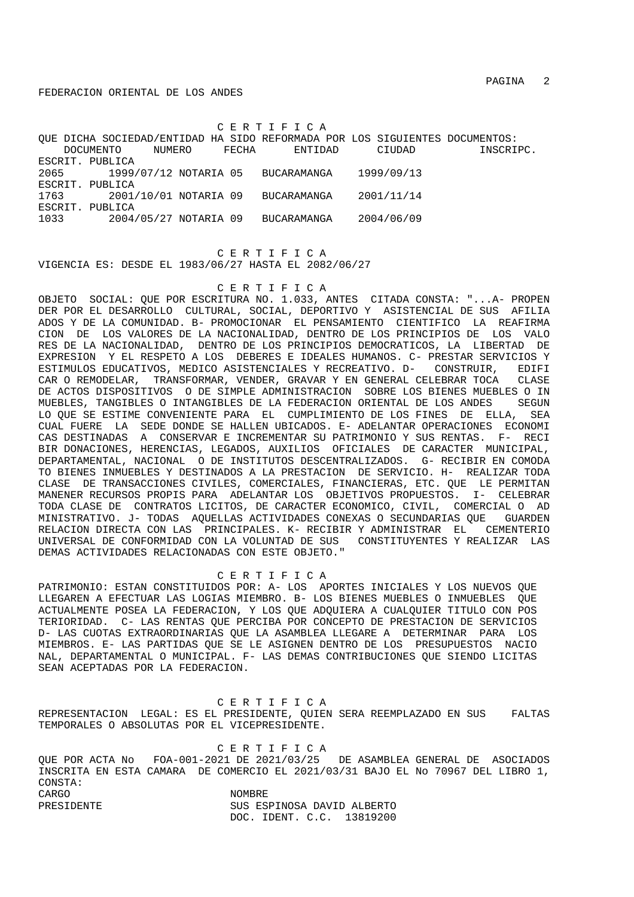C E R T I F I C A

QUE DICHA SOCIEDAD/ENTIDAD HA SIDO REFORMADA POR LOS SIGUIENTES DOCUMENTOS: DOCUMENTO NUMERO FECHA ENTIDAD CIUDAD INSCRIPC. ESCRIT. PUBLICA 2065 1999/07/12 NOTARIA 05 BUCARAMANGA 1999/09/13 ESCRIT. PUBLICA 1763 2001/10/01 NOTARIA 09 BUCARAMANGA 2001/11/14 ESCRIT. PUBLICA 1033 2004/05/27 NOTARIA 09 BUCARAMANGA 2004/06/09

 C E R T I F I C A VIGENCIA ES: DESDE EL 1983/06/27 HASTA EL 2082/06/27

## C E R T I F I C A

OBJETO SOCIAL: QUE POR ESCRITURA NO. 1.033, ANTES CITADA CONSTA: "...A- PROPEN DER POR EL DESARROLLO CULTURAL, SOCIAL, DEPORTIVO Y ASISTENCIAL DE SUS AFILIA ADOS Y DE LA COMUNIDAD. B- PROMOCIONAR EL PENSAMIENTO CIENTIFICO LA REAFIRMA CION DE LOS VALORES DE LA NACIONALIDAD, DENTRO DE LOS PRINCIPIOS DE LOS VALO RES DE LA NACIONALIDAD, DENTRO DE LOS PRINCIPIOS DEMOCRATICOS, LA LIBERTAD DE EXPRESION Y EL RESPETO A LOS DEBERES E IDEALES HUMANOS. C- PRESTAR SERVICIOS Y ESTIMULOS EDUCATIVOS, MEDICO ASISTENCIALES Y RECREATIVO. D- CONSTRUIR, EDIFI CAR O REMODELAR, TRANSFORMAR, VENDER, GRAVAR Y EN GENERAL CELEBRAR TOCA CLASE DE ACTOS DISPOSITIVOS O DE SIMPLE ADMINISTRACION SOBRE LOS BIENES MUEBLES O IN MUEBLES, TANGIBLES O INTANGIBLES DE LA FEDERACION ORIENTAL DE LOS ANDES SEGUN LO QUE SE ESTIME CONVENIENTE PARA EL CUMPLIMIENTO DE LOS FINES DE ELLA, SEA CUAL FUERE LA SEDE DONDE SE HALLEN UBICADOS. E- ADELANTAR OPERACIONES ECONOMI CAS DESTINADAS A CONSERVAR E INCREMENTAR SU PATRIMONIO Y SUS RENTAS. F- RECI BIR DONACIONES, HERENCIAS, LEGADOS, AUXILIOS OFICIALES DE CARACTER MUNICIPAL, DEPARTAMENTAL, NACIONAL O DE INSTITUTOS DESCENTRALIZADOS. G- RECIBIR EN COMODA TO BIENES INMUEBLES Y DESTINADOS A LA PRESTACION DE SERVICIO. H- REALIZAR TODA CLASE DE TRANSACCIONES CIVILES, COMERCIALES, FINANCIERAS, ETC. QUE LE PERMITAN MANENER RECURSOS PROPIS PARA ADELANTAR LOS OBJETIVOS PROPUESTOS. I- CELEBRAR TODA CLASE DE CONTRATOS LICITOS, DE CARACTER ECONOMICO, CIVIL, COMERCIAL O AD MINISTRATIVO. J- TODAS AQUELLAS ACTIVIDADES CONEXAS O SECUNDARIAS QUE GUARDEN RELACION DIRECTA CON LAS PRINCIPALES. K- RECIBIR Y ADMINISTRAR EL CEMENTERIO<br>UNIVERSAL DE CONFORMIDAD CON LA VOLUNTAD DE SUS CONSTITUYENTES Y REALIZAR LAS UNIVERSAL DE CONFORMIDAD CON LA VOLUNTAD DE SUS DEMAS ACTIVIDADES RELACIONADAS CON ESTE OBJETO."

#### C E R T I F I C A

PATRIMONIO: ESTAN CONSTITUIDOS POR: A- LOS APORTES INICIALES Y LOS NUEVOS QUE LLEGAREN A EFECTUAR LAS LOGIAS MIEMBRO. B- LOS BIENES MUEBLES O INMUEBLES QUE ACTUALMENTE POSEA LA FEDERACION, Y LOS QUE ADQUIERA A CUALQUIER TITULO CON POS TERIORIDAD. C- LAS RENTAS QUE PERCIBA POR CONCEPTO DE PRESTACION DE SERVICIOS D- LAS CUOTAS EXTRAORDINARIAS QUE LA ASAMBLEA LLEGARE A DETERMINAR PARA LOS MIEMBROS. E- LAS PARTIDAS QUE SE LE ASIGNEN DENTRO DE LOS PRESUPUESTOS NACIO NAL, DEPARTAMENTAL O MUNICIPAL. F- LAS DEMAS CONTRIBUCIONES QUE SIENDO LICITAS SEAN ACEPTADAS POR LA FEDERACION.

 C E R T I F I C A REPRESENTACION LEGAL: ES EL PRESIDENTE, QUIEN SERA REEMPLAZADO EN SUS FALTAS TEMPORALES O ABSOLUTAS POR EL VICEPRESIDENTE.

 C E R T I F I C A QUE POR ACTA No FOA-001-2021 DE 2021/03/25 DE ASAMBLEA GENERAL DE ASOCIADOS INSCRITA EN ESTA CAMARA DE COMERCIO EL 2021/03/31 BAJO EL No 70967 DEL LIBRO 1, CONSTA: CARGO NOMBRE PRESIDENTE SUS ESPINOSA DAVID ALBERTO DOC. IDENT. C.C. 13819200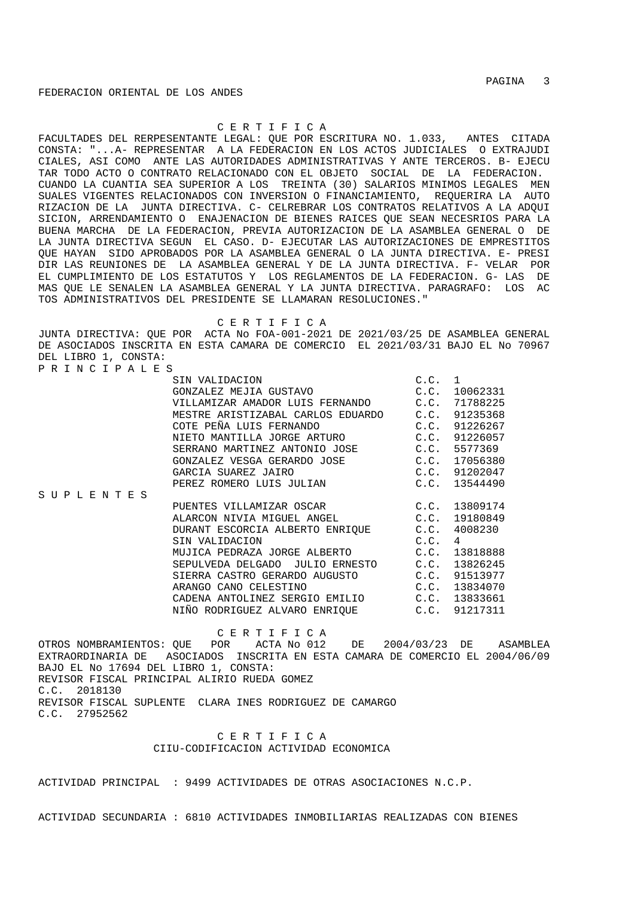## C E R T I F I C A

FACULTADES DEL RERPESENTANTE LEGAL: QUE POR ESCRITURA NO. 1.033, ANTES CITADA CONSTA: "...A- REPRESENTAR A LA FEDERACION EN LOS ACTOS JUDICIALES O EXTRAJUDI CIALES, ASI COMO ANTE LAS AUTORIDADES ADMINISTRATIVAS Y ANTE TERCEROS. B- EJECU TAR TODO ACTO O CONTRATO RELACIONADO CON EL OBJETO SOCIAL DE LA FEDERACION. CUANDO LA CUANTIA SEA SUPERIOR A LOS TREINTA (30) SALARIOS MINIMOS LEGALES MEN SUALES VIGENTES RELACIONADOS CON INVERSION O FINANCIAMIENTO, REQUERIRA LA AUTO RIZACION DE LA JUNTA DIRECTIVA. C- CELREBRAR LOS CONTRATOS RELATIVOS A LA ADQUI SICION, ARRENDAMIENTO O ENAJENACION DE BIENES RAICES QUE SEAN NECESRIOS PARA LA BUENA MARCHA DE LA FEDERACION, PREVIA AUTORIZACION DE LA ASAMBLEA GENERAL O DE LA JUNTA DIRECTIVA SEGUN EL CASO. D- EJECUTAR LAS AUTORIZACIONES DE EMPRESTITOS QUE HAYAN SIDO APROBADOS POR LA ASAMBLEA GENERAL O LA JUNTA DIRECTIVA. E- PRESI DIR LAS REUNIONES DE LA ASAMBLEA GENERAL Y DE LA JUNTA DIRECTIVA. F- VELAR POR EL CUMPLIMIENTO DE LOS ESTATUTOS Y LOS REGLAMENTOS DE LA FEDERACION. G- LAS DE MAS QUE LE SENALEN LA ASAMBLEA GENERAL Y LA JUNTA DIRECTIVA. PARAGRAFO: LOS AC TOS ADMINISTRATIVOS DEL PRESIDENTE SE LLAMARAN RESOLUCIONES."

#### C E R T I F I C A

JUNTA DIRECTIVA: QUE POR ACTA No FOA-001-2021 DE 2021/03/25 DE ASAMBLEA GENERAL DE ASOCIADOS INSCRITA EN ESTA CAMARA DE COMERCIO EL 2021/03/31 BAJO EL No 70967 DEL LIBRO 1, CONSTA: P R I N C I P A L E S

|                   | SIN VALIDACION                         | C.C. 1 |                |
|-------------------|----------------------------------------|--------|----------------|
|                   |                                        |        | 10062331       |
|                   | VILLAMIZAR AMADOR LUIS FERNANDO C.C.   |        | 71788225       |
|                   | MESTRE ARISTIZABAL CARLOS EDUARDO C.C. |        | 91235368       |
|                   | COTE PEÑA LUIS FERNANDO<br>C.C.        |        | 91226267       |
|                   | NIETO MANTILLA JORGE ARTURO            | C.C.   | 91226057       |
|                   | SERRANO MARTINEZ ANTONIO JOSE C.C.     |        | 5577369        |
|                   | GONZALEZ VESGA GERARDO JOSE C.C.       |        | 17056380       |
|                   | C.C.<br>GARCIA SUAREZ JAIRO            |        | 91202047       |
|                   | PEREZ ROMERO LUIS JULIAN               | C.C.   | 13544490       |
| S U P L E N T E S |                                        |        |                |
|                   | PUENTES VILLAMIZAR OSCAR C.C. 13809174 |        |                |
|                   | ALARCON NIVIA MIGUEL ANGEL C.C.        |        | 19180849       |
|                   | DURANT ESCORCIA ALBERTO ENRIQUE C.C.   |        | 4008230        |
|                   | SIN VALIDACION                         | C.C.   | $\overline{4}$ |
|                   | MUJICA PEDRAZA JORGE ALBERTO C.C.      |        | 13818888       |
|                   | SEPULVEDA DELGADO JULIO ERNESTO C.C.   |        | 13826245       |
|                   | SIERRA CASTRO GERARDO AUGUSTO C.C.     |        | 91513977       |
|                   | ARANGO CANO CELESTINO                  | C.C.   | 13834070       |
|                   | CADENA ANTOLINEZ SERGIO EMILIO C.C.    |        | 13833661       |
|                   | NIÑO RODRIGUEZ ALVARO ENRIOUE C.C.     |        | 91217311       |

 C E R T I F I C A OTROS NOMBRAMIENTOS: QUE POR ACTA No 012 DE 2004/03/23 DE ASAMBLEA EXTRAORDINARIA DE ASOCIADOS INSCRITA EN ESTA CAMARA DE COMERCIO EL 2004/06/09 BAJO EL No 17694 DEL LIBRO 1, CONSTA: REVISOR FISCAL PRINCIPAL ALIRIO RUEDA GOMEZ C.C. 2018130 REVISOR FISCAL SUPLENTE CLARA INES RODRIGUEZ DE CAMARGO C.C. 27952562

# C E R T I F I C A CIIU-CODIFICACION ACTIVIDAD ECONOMICA

ACTIVIDAD PRINCIPAL : 9499 ACTIVIDADES DE OTRAS ASOCIACIONES N.C.P.

ACTIVIDAD SECUNDARIA : 6810 ACTIVIDADES INMOBILIARIAS REALIZADAS CON BIENES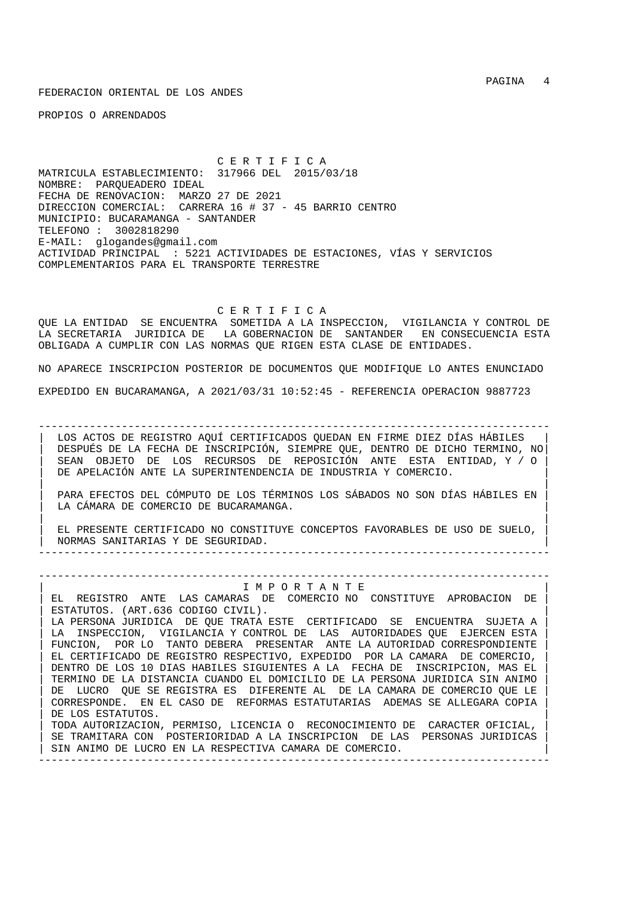PROPIOS O ARRENDADOS

 C E R T I F I C A MATRICULA ESTABLECIMIENTO: 317966 DEL 2015/03/18 NOMBRE: PARQUEADERO IDEAL FECHA DE RENOVACION: MARZO 27 DE 2021 DIRECCION COMERCIAL: CARRERA 16 # 37 - 45 BARRIO CENTRO MUNICIPIO: BUCARAMANGA - SANTANDER TELEFONO : 3002818290 E-MAIL: glogandes@gmail.com ACTIVIDAD PRINCIPAL : 5221 ACTIVIDADES DE ESTACIONES, VÍAS Y SERVICIOS COMPLEMENTARIOS PARA EL TRANSPORTE TERRESTRE

C E R T I F I C A

QUE LA ENTIDAD SE ENCUENTRA SOMETIDA A LA INSPECCION, VIGILANCIA Y CONTROL DE LA SECRETARIA JURIDICA DE LA GOBERNACION DE SANTANDER EN CONSECUENCIA ESTA OBLIGADA A CUMPLIR CON LAS NORMAS QUE RIGEN ESTA CLASE DE ENTIDADES.

NO APARECE INSCRIPCION POSTERIOR DE DOCUMENTOS QUE MODIFIQUE LO ANTES ENUNCIADO EXPEDIDO EN BUCARAMANGA, A 2021/03/31 10:52:45 - REFERENCIA OPERACION 9887723

-------------------------------------------------------------------------------- LOS ACTOS DE REGISTRO AQUÍ CERTIFICADOS QUEDAN EN FIRME DIEZ DÍAS HÁBILES | DESPUÉS DE LA FECHA DE INSCRIPCIÓN, SIEMPRE QUE, DENTRO DE DICHO TERMINO, NO| | SEAN OBJETO DE LOS RECURSOS DE REPOSICIÓN ANTE ESTA ENTIDAD, Y / O | DE APELACIÓN ANTE LA SUPERINTENDENCIA DE INDUSTRIA Y COMERCIO.

| | | PARA EFECTOS DEL CÓMPUTO DE LOS TÉRMINOS LOS SÁBADOS NO SON DÍAS HÁBILES EN | LA CÁMARA DE COMERCIO DE BUCARAMANGA.

| | | EL PRESENTE CERTIFICADO NO CONSTITUYE CONCEPTOS FAVORABLES DE USO DE SUELO, | | NORMAS SANITARIAS Y DE SEGURIDAD. | --------------------------------------------------------------------------------

--------------------------------------------------------------------------------

## | I M P O R T A N T E |

EL REGISTRO ANTE LAS CAMARAS DE COMERCIO NO CONSTITUYE APROBACION DE ESTATUTOS. (ART.636 CODIGO CIVIL). LA PERSONA JURIDICA DE QUE TRATA ESTE CERTIFICADO SE ENCUENTRA SUJETA A LA INSPECCION, VIGILANCIA Y CONTROL DE LAS AUTORIDADES QUE EJERCEN ESTA FUNCION, POR LO TANTO DEBERA PRESENTAR ANTE LA AUTORIDAD CORRESPONDIENTE | EL CERTIFICADO DE REGISTRO RESPECTIVO, EXPEDIDO POR LA CAMARA DE COMERCIO, | | DENTRO DE LOS 10 DIAS HABILES SIGUIENTES A LA FECHA DE INSCRIPCION, MAS EL | | TERMINO DE LA DISTANCIA CUANDO EL DOMICILIO DE LA PERSONA JURIDICA SIN ANIMO | DE LUCRO QUE SE REGISTRA ES DIFERENTE AL DE LA CAMARA DE COMERCIO QUE LE | CORRESPONDE. EN EL CASO DE REFORMAS ESTATUTARIAS ADEMAS SE ALLEGARA COPIA | DE LOS ESTATUTOS. | TODA AUTORIZACION, PERMISO, LICENCIA O RECONOCIMIENTO DE CARACTER OFICIAL, | SE TRAMITARA CON POSTERIORIDAD A LA INSCRIPCION DE LAS PERSONAS JURIDICAS SIN ANIMO DE LUCRO EN LA RESPECTIVA CAMARA DE COMERCIO.

--------------------------------------------------------------------------------